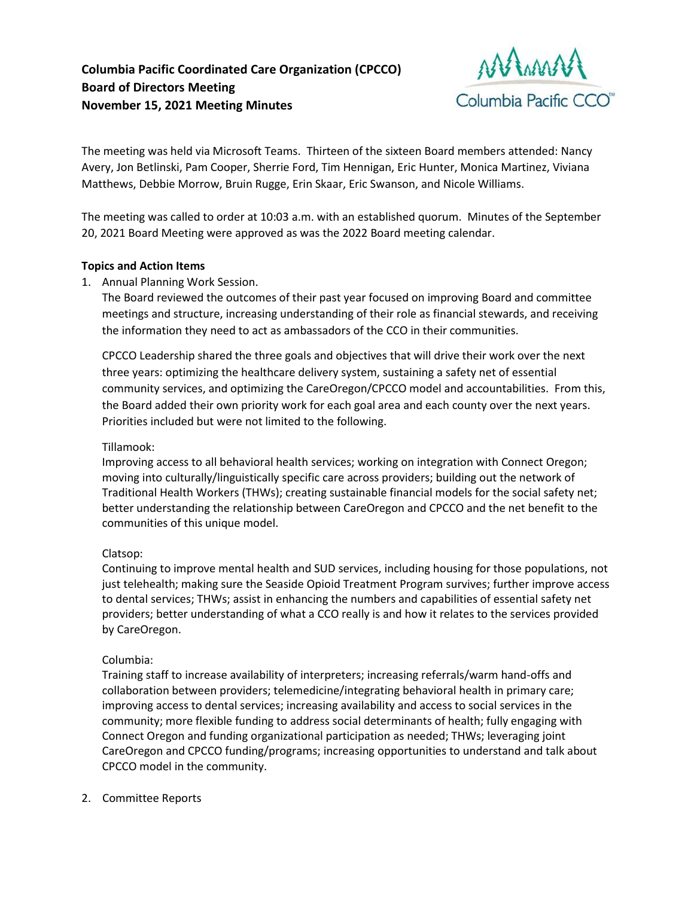**Columbia Pacific Coordinated Care Organization (CPCCO) Board of Directors Meeting November 15, 2021 Meeting Minutes**



The meeting was held via Microsoft Teams. Thirteen of the sixteen Board members attended: Nancy Avery, Jon Betlinski, Pam Cooper, Sherrie Ford, Tim Hennigan, Eric Hunter, Monica Martinez, Viviana Matthews, Debbie Morrow, Bruin Rugge, Erin Skaar, Eric Swanson, and Nicole Williams.

The meeting was called to order at 10:03 a.m. with an established quorum. Minutes of the September 20, 2021 Board Meeting were approved as was the 2022 Board meeting calendar.

## **Topics and Action Items**

1. Annual Planning Work Session.

The Board reviewed the outcomes of their past year focused on improving Board and committee meetings and structure, increasing understanding of their role as financial stewards, and receiving the information they need to act as ambassadors of the CCO in their communities.

CPCCO Leadership shared the three goals and objectives that will drive their work over the next three years: optimizing the healthcare delivery system, sustaining a safety net of essential community services, and optimizing the CareOregon/CPCCO model and accountabilities. From this, the Board added their own priority work for each goal area and each county over the next years. Priorities included but were not limited to the following.

## Tillamook:

Improving access to all behavioral health services; working on integration with Connect Oregon; moving into culturally/linguistically specific care across providers; building out the network of Traditional Health Workers (THWs); creating sustainable financial models for the social safety net; better understanding the relationship between CareOregon and CPCCO and the net benefit to the communities of this unique model.

## Clatsop:

Continuing to improve mental health and SUD services, including housing for those populations, not just telehealth; making sure the Seaside Opioid Treatment Program survives; further improve access to dental services; THWs; assist in enhancing the numbers and capabilities of essential safety net providers; better understanding of what a CCO really is and how it relates to the services provided by CareOregon.

## Columbia:

Training staff to increase availability of interpreters; increasing referrals/warm hand-offs and collaboration between providers; telemedicine/integrating behavioral health in primary care; improving access to dental services; increasing availability and access to social services in the community; more flexible funding to address social determinants of health; fully engaging with Connect Oregon and funding organizational participation as needed; THWs; leveraging joint CareOregon and CPCCO funding/programs; increasing opportunities to understand and talk about CPCCO model in the community.

2. Committee Reports